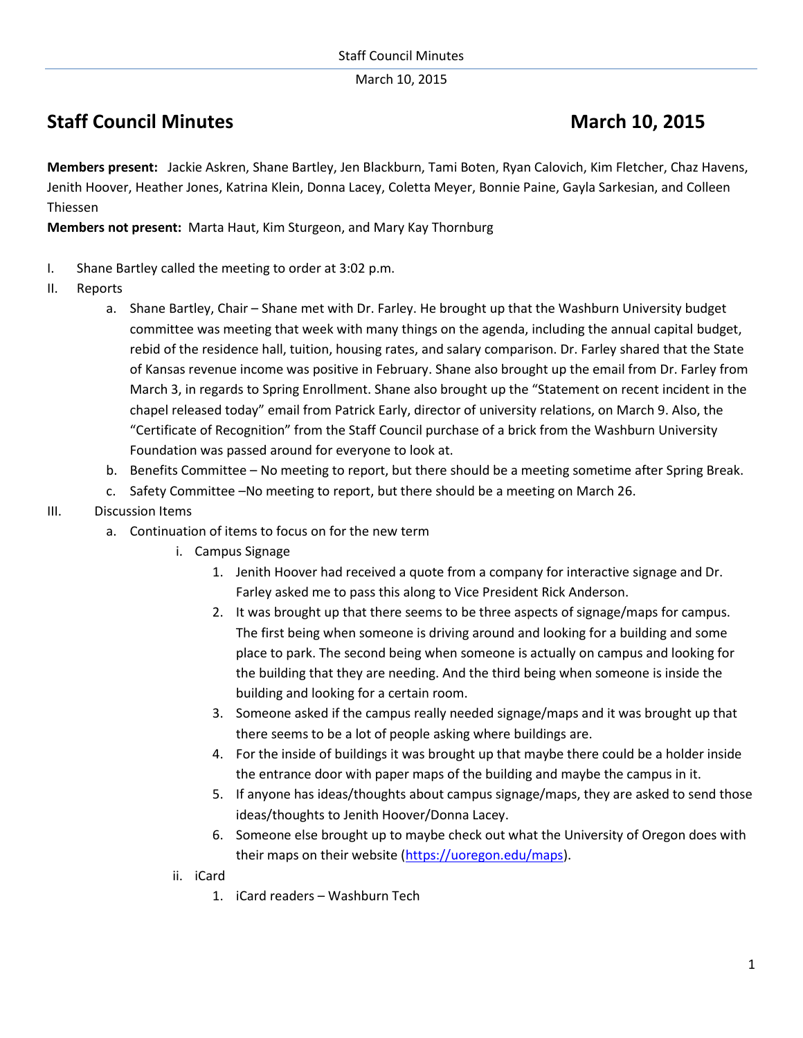March 10, 2015

# **Staff Council Minutes March 10, 2015**

**Members present:** Jackie Askren, Shane Bartley, Jen Blackburn, Tami Boten, Ryan Calovich, Kim Fletcher, Chaz Havens, Jenith Hoover, Heather Jones, Katrina Klein, Donna Lacey, Coletta Meyer, Bonnie Paine, Gayla Sarkesian, and Colleen Thiessen

**Members not present:** Marta Haut, Kim Sturgeon, and Mary Kay Thornburg

- I. Shane Bartley called the meeting to order at 3:02 p.m.
- II. Reports
	- a. Shane Bartley, Chair Shane met with Dr. Farley. He brought up that the Washburn University budget committee was meeting that week with many things on the agenda, including the annual capital budget, rebid of the residence hall, tuition, housing rates, and salary comparison. Dr. Farley shared that the State of Kansas revenue income was positive in February. Shane also brought up the email from Dr. Farley from March 3, in regards to Spring Enrollment. Shane also brought up the "Statement on recent incident in the chapel released today" email from Patrick Early, director of university relations, on March 9. Also, the "Certificate of Recognition" from the Staff Council purchase of a brick from the Washburn University Foundation was passed around for everyone to look at.
	- b. Benefits Committee No meeting to report, but there should be a meeting sometime after Spring Break.
	- c. Safety Committee –No meeting to report, but there should be a meeting on March 26.
- III. Discussion Items
	- a. Continuation of items to focus on for the new term
		- i. Campus Signage
			- 1. Jenith Hoover had received a quote from a company for interactive signage and Dr. Farley asked me to pass this along to Vice President Rick Anderson.
			- 2. It was brought up that there seems to be three aspects of signage/maps for campus. The first being when someone is driving around and looking for a building and some place to park. The second being when someone is actually on campus and looking for the building that they are needing. And the third being when someone is inside the building and looking for a certain room.
			- 3. Someone asked if the campus really needed signage/maps and it was brought up that there seems to be a lot of people asking where buildings are.
			- 4. For the inside of buildings it was brought up that maybe there could be a holder inside the entrance door with paper maps of the building and maybe the campus in it.
			- 5. If anyone has ideas/thoughts about campus signage/maps, they are asked to send those ideas/thoughts to Jenith Hoover/Donna Lacey.
			- 6. Someone else brought up to maybe check out what the University of Oregon does with their maps on their website [\(https://uoregon.edu/maps\)](https://uoregon.edu/maps).
		- ii. iCard
			- 1. iCard readers Washburn Tech